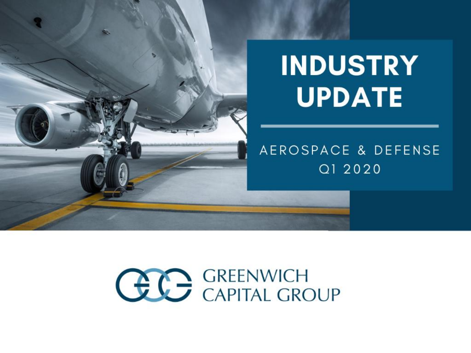

# **INDUSTRY UPDATE**

#### AEROSPACE & DEFENSE Q1 2020

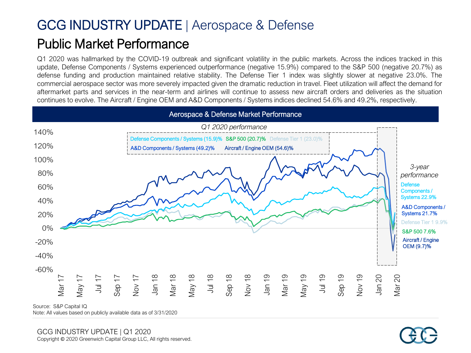# GCG INDUSTRY UPDATE | Aerospace & Defense Public Market Performance

Q1 2020 was hallmarked by the COVID-19 outbreak and significant volatility in the public markets. Across the indices tracked in this update, Defense Components / Systems experienced outperformance (negative 15.9%) compared to the S&P 500 (negative 20.7%) as defense funding and production maintained relative stability. The Defense Tier 1 index was slightly slower at negative 23.0%. The commercial aerospace sector was more severely impacted given the dramatic reduction in travel. Fleet utilization will affect the demand for aftermarket parts and services in the near-term and airlines will continue to assess new aircraft orders and deliveries as the situation continues to evolve. The Aircraft / Engine OEM and A&D Components / Systems indices declined 54.6% and 49.2%, respectively.



Note: All values based on publicly available data as of 3/31/2020

GCG INDUSTRY UPDATE | Q1 2020<br>Copyright © 2020 Greenwich Capital Group LLC, All rights reserved.

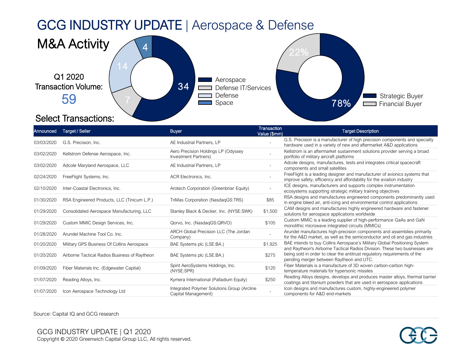#### GCG INDUSTRY UPDATE | Aerospace & Defense



#### Announced Target / Seller Buyer Transaction المستخدم المستخدم المستخدم المستخدم المستخدم المستخدم المستخدم الم<br>Value (\$mm) **Target Description** 03/03/2020 G.S. Precision, Inc. AE Industrial Partners, LP G.S. Precision is a manufacturer of high precision components and specialty hardware used in a variety of new and aftermarket A&D applications 03/02/2020 Kellstrom Defense Aerospace, Inc. Aero Precision Holdings LP (Odyssey Investment Partners) Kellstrom is an aftermarket sustainment solutions provider serving a broad portfolio of military aircraft platforms 03/02/2020 Adcole Maryland Aerospace, LLC AE Industrial Partners, LP Adcole designs, manufactures, tests and integrates critical spacecraft components and small satellites 02/24/2020 FreeFlight Systems, Inc. **ACR Electronics**, Inc. FreeFlight is a leading designer and manufacturer of avionics systems that improve safety, efficiency and affordability for the aviation industry 02/10/2020 Inter-Coastal Electronics, Inc. Arotech Corporation (Greenbriar Equity) ICE designs, manufacturers and supports complex instrumentation ecosystems supporting strategic military training objectives 01/30/2020 RSA Engineered Products, LLC (Tinicum L.P.) TriMas Corporation (NasdaqGS:TRS) 885 RSA designs and manufactures engineered components predominantly used in engine bleed air, anti-icing and environmental control applications 01/29/2020 Consolidated Aerospace Manufacturing, LLC Stanley Black & Decker, Inc. (NYSE:SWK) \$1,500 CAM designs and manufactures highly engineered hardware and fastener solutions for aerospace applications worldwide 01/29/2020 Custom MMIC Design Services, Inc. (NasdaqGS:QRVO) Custom MMIC is a leading supplier of high-performance GaAs and GaN monolithic microwave integrated circuits (MMICs) 01/28/2020 Arundel Machine Tool Co. Inc. ARCH Global Precision LLC (The Jordan Company) - Arundel manufactures high-precision components and assemblies primarily for the A&D market, as well as the semiconductor and oil and gas industries 01/20/2020 Military GPS Business Of Collins Aerospace BAE Systems plc (LSE:BA.) \$1,925 BAE intends to buy Collins Aerospace's Military Global Positioning System and Raytheon's Airborne Tactical Radios Division. These two businesses are being sold in order to clear the antitrust regulatory requirements of the pending merger between Raytheon and UTC. 01/20/2020 Airborne Tactical Radios Business of Raytheon BAE Systems plc (LSE:BA.) \$275 01/09/2020 Fiber Materials Inc. (Edgewater Capital) Spirit AeroSystems Holdings, Inc. \$120 Fiber Materials is a manufacture of 3D woven carbon-carbon hightemperature materials for hypersonic missiles 01/07/2020 Reading Alloys, Inc. **Exercise 2012** Reading Alloys designs, develops and produces master alloys, thermal barrier<br>Barrier and the process master alloys, Inc. **Exercise 2014** Reading Alloys designs, develops and coatings and titanium powders that are used in aerospace applications 01/07/2020 Icon Aerospace Technology Ltd Integrated Polymer Solutions Group (Arcline Capital Management) Icon designs and manufactures custom, highly-engineered polymer components for A&D end-markets

Source: Capital IQ and GCG research

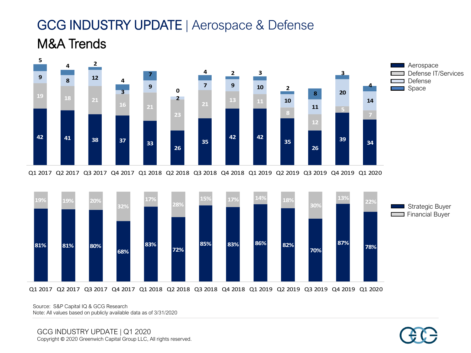#### GCG INDUSTRY UPDATE | Aerospace & Defense M&A Trends





Q1 2017 Q2 2017 Q3 2017 Q4 2017 Q1 2018 Q2 2018 Q3 2018 Q4 2018 Q1 2019 Q2 2019 Q3 2019 Q4 2019 Q1 2020

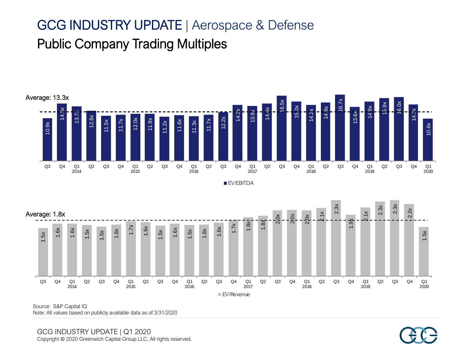#### GCG INDUSTRY UPDATE | Aerospace & Defense Public Company Trading Multiples



**EV/EBITDA** 



Source: S&P Capital IQ Note: All values based on publicly available data as of 3/31/2020

GCG INDUSTRY UPDATE | Q1 2020<br>Copyright © 2020 Greenwich Capital Group LLC, All rights reserved.

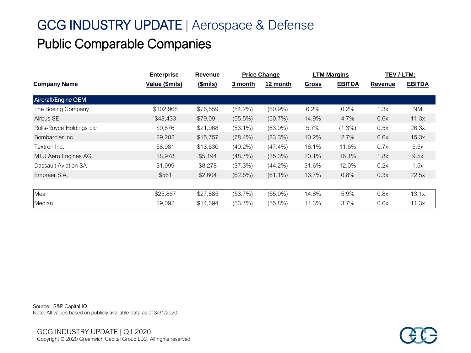## GCG INDUSTRY UPDATE | Aerospace & Defense Public Comparable Companies

|                          | <b>Enterprise</b> | Revenue  | <b>Price Change</b> |            | <b>LTM Margins</b> |               | TEV / LTM:     |               |
|--------------------------|-------------------|----------|---------------------|------------|--------------------|---------------|----------------|---------------|
| <b>Company Name</b>      | Value (\$mils)    | (\$mils) | 3 month             | 12 month   | <b>Gross</b>       | <b>EBITDA</b> | <b>Revenue</b> | <b>EBITDA</b> |
| Aircraft/Engine OEM      |                   |          |                     |            |                    |               |                |               |
| The Boeing Company       | \$102,968         | \$76,559 | $(54.2\%)$          | $(60.9\%)$ | 6.2%               | 0.2%          | 1.3x           | <b>NM</b>     |
| Airbus SE                | \$48,433          | \$79,091 | $(55.5\%)$          | $(50.7\%)$ | 14.9%              | 4.7%          | 0.6x           | 11.3x         |
| Rolls-Royce Holdings plc | \$9,676           | \$21,968 | $(53.1\%)$          | $(63.9\%)$ | 5.7%               | $(1.3\%)$     | 0.5x           | 26.3x         |
| Bombardier Inc.          | \$9,202           | \$15,757 | $(78.4\%)$          | $(83.3\%)$ | 10.2%              | 2.7%          | 0.6x           | 15.3x         |
| Textron Inc.             | \$8,981           | \$13,630 | $(40.2\%)$          | $(47.4\%)$ | 16.1%              | 11.6%         | 0.7x           | 5.5x          |
| MTU Aero Engines AG      | \$8,978           | \$5,194  | (48.7%)             | $(35.3\%)$ | 20.1%              | 16.1%         | 1.8x           | 9.5x          |
| Dassault Aviation SA     | \$1,999           | \$8,278  | (37.3%)             | $(44.2\%)$ | 31.6%              | 12.0%         | 0.2x           | 1.5x          |
| Embraer S.A.             | \$561             | \$2,604  | (62.5%)             | $(61.1\%)$ | 13.7%              | 0.8%          | 0.3x           | 22.5x         |
|                          |                   |          |                     |            |                    |               |                |               |
| Mean                     | \$25,867          | \$27,885 | (53.7%)             | $(55.9\%)$ | 14.8%              | 5.9%          | 0.8x           | 13.1x         |
| Median                   | \$9,092           | \$14,694 | (53.7%)             | $(55.8\%)$ | 14.3%              | 3.7%          | 0.6x           | 11.3x         |

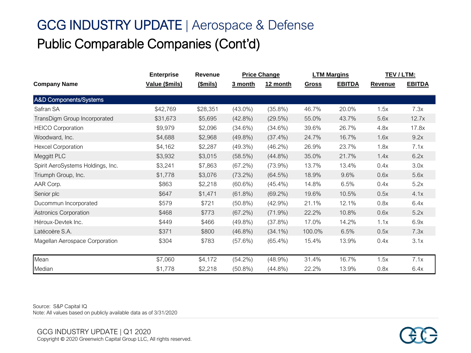## GCG INDUSTRY UPDATE | Aerospace & Defense Public Comparable Companies (Cont'd)

|                                   | <b>Enterprise</b> | Revenue  | <b>Price Change</b> |            | <b>LTM Margins</b> |               | <b>TEV/LTM:</b> |               |
|-----------------------------------|-------------------|----------|---------------------|------------|--------------------|---------------|-----------------|---------------|
| <b>Company Name</b>               | Value (\$mils)    | (\$mils) | 3 month             | 12 month   | <b>Gross</b>       | <b>EBITDA</b> | Revenue         | <b>EBITDA</b> |
| A&D Components/Systems            |                   |          |                     |            |                    |               |                 |               |
| Safran SA                         | \$42,769          | \$28,351 | $(43.0\%)$          | $(35.8\%)$ | 46.7%              | 20.0%         | 1.5x            | 7.3x          |
| TransDigm Group Incorporated      | \$31,673          | \$5,695  | $(42.8\%)$          | (29.5%)    | 55.0%              | 43.7%         | 5.6x            | 12.7x         |
| <b>HEICO Corporation</b>          | \$9,979           | \$2,096  | (34.6%)             | $(34.6\%)$ | 39.6%              | 26.7%         | 4.8x            | 17.8x         |
| Woodward, Inc.                    | \$4,688           | \$2,968  | $(49.8\%)$          | $(37.4\%)$ | 24.7%              | 16.7%         | 1.6x            | 9.2x          |
| <b>Hexcel Corporation</b>         | \$4,162           | \$2,287  | (49.3%)             | (46.2%)    | 26.9%              | 23.7%         | 1.8x            | 7.1x          |
| Meggitt PLC                       | \$3,932           | \$3,015  | (58.5%)             | $(44.8\%)$ | 35.0%              | 21.7%         | 1.4x            | 6.2x          |
| Spirit AeroSystems Holdings, Inc. | \$3,241           | \$7,863  | (67.2%)             | (73.9%)    | 13.7%              | 13.4%         | 0.4x            | 3.0x          |
| Triumph Group, Inc.               | \$1,778           | \$3,076  | $(73.2\%)$          | (64.5%)    | 18.9%              | 9.6%          | 0.6x            | 5.6x          |
| AAR Corp.                         | \$863             | \$2,218  | (60.6%)             | $(45.4\%)$ | 14.8%              | 6.5%          | 0.4x            | 5.2x          |
| Senior plc                        | \$647             | \$1,471  | $(61.8\%)$          | $(69.2\%)$ | 19.6%              | 10.5%         | 0.5x            | 4.1x          |
| Ducommun Incorporated             | \$579             | \$721    | $(50.8\%)$          | (42.9%)    | 21.1%              | 12.1%         | 0.8x            | 6.4x          |
| <b>Astronics Corporation</b>      | \$468             | \$773    | (67.2%)             | (71.9%)    | 22.2%              | 10.8%         | 0.6x            | 5.2x          |
| Héroux-Devtek Inc.                | \$449             | \$466    | $(49.8\%)$          | (37.8%)    | 17.0%              | 14.2%         | 1.1x            | 6.9x          |
| Latécoère S.A.                    | \$371             | \$800    | $(46.8\%)$          | $(34.1\%)$ | 100.0%             | 6.5%          | 0.5x            | 7.3x          |
| Magellan Aerospace Corporation    | \$304             | \$783    | (57.6%)             | $(65.4\%)$ | 15.4%              | 13.9%         | 0.4x            | 3.1x          |
| Mean                              | \$7,060           | \$4,172  | $(54.2\%)$          | $(48.9\%)$ | 31.4%              | 16.7%         | 1.5x            | 7.1x          |
| Median                            | \$1,778           | \$2,218  | $(50.8\%)$          | $(44.8\%)$ | 22.2%              | 13.9%         | 0.8x            | 6.4x          |

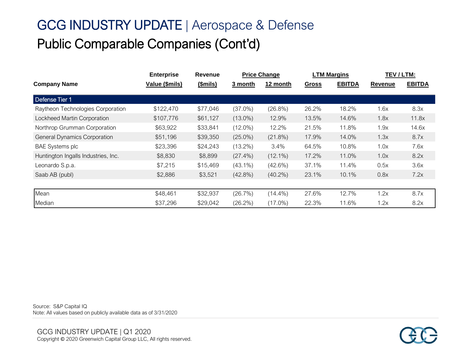## GCG INDUSTRY UPDATE | Aerospace & Defense Public Comparable Companies (Cont'd)

|                                     | <b>Enterprise</b> | <b>Revenue</b>  | <b>Price Change</b> |            | <b>LTM Margins</b> |               | TEV/LTM: |               |
|-------------------------------------|-------------------|-----------------|---------------------|------------|--------------------|---------------|----------|---------------|
| <b>Company Name</b>                 | Value (\$mils)    | <u>(\$mils)</u> | 3 month             | 12 month   | <b>Gross</b>       | <b>EBITDA</b> | Revenue  | <b>EBITDA</b> |
| Defense Tier 1                      |                   |                 |                     |            |                    |               |          |               |
| Raytheon Technologies Corporation   | \$122,470         | \$77,046        | $(37.0\%)$          | (26.8%)    | 26.2%              | 18.2%         | 1.6x     | 8.3x          |
| Lockheed Martin Corporation         | \$107,776         | \$61,127        | $(13.0\%)$          | 12.9%      | 13.5%              | 14.6%         | 1.8x     | 11.8x         |
| Northrop Grumman Corporation        | \$63,922          | \$33,841        | $(12.0\%)$          | 12.2%      | 21.5%              | 11.8%         | 1.9x     | 14.6x         |
| <b>General Dynamics Corporation</b> | \$51,196          | \$39,350        | $(25.0\%)$          | $(21.8\%)$ | 17.9%              | 14.0%         | 1.3x     | 8.7x          |
| <b>BAE Systems plc</b>              | \$23,396          | \$24,243        | $(13.2\%)$          | $3.4\%$    | 64.5%              | 10.8%         | 1.0x     | 7.6x          |
| Huntington Ingalls Industries, Inc. | \$8,830           | \$8,899         | $(27.4\%)$          | $(12.1\%)$ | 17.2%              | 11.0%         | 1.0x     | 8.2x          |
| Leonardo S.p.a.                     | \$7,215           | \$15,469        | $(43.1\%)$          | (42.6%)    | 37.1%              | 11.4%         | 0.5x     | 3.6x          |
| Saab AB (publ)                      | \$2,886           | \$3,521         | $(42.8\%)$          | $(40.2\%)$ | 23.1%              | 10.1%         | 0.8x     | 7.2x          |
|                                     |                   |                 |                     |            |                    |               |          |               |
| Mean                                | \$48,461          | \$32,937        | (26.7%)             | $(14.4\%)$ | 27.6%              | 12.7%         | 1.2x     | 8.7x          |
| Median                              | \$37,296          | \$29,042        | $(26.2\%)$          | $(17.0\%)$ | 22.3%              | 11.6%         | 1.2x     | 8.2x          |

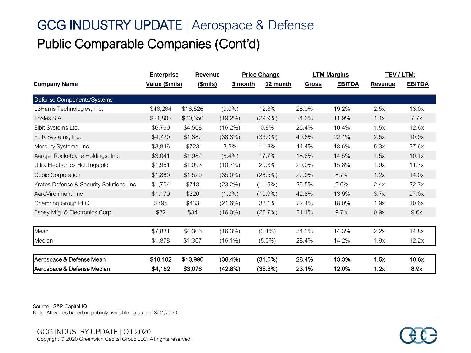## GCG INDUSTRY UPDATE | Aerospace & Defense Public Comparable Companies (Cont'd)

|                                           | <b>Enterprise</b> | <b>Revenue</b> |            | <b>Price Change</b> |              | <b>LTM Margins</b> | TEV/LTM:       |               |
|-------------------------------------------|-------------------|----------------|------------|---------------------|--------------|--------------------|----------------|---------------|
| <b>Company Name</b>                       | Value (\$mils)    | (Smils)        | 3 month    | 12 month            | <b>Gross</b> | <b>EBITDA</b>      | <b>Revenue</b> | <b>EBITDA</b> |
| Defense Components/Systems                |                   |                |            |                     |              |                    |                |               |
| L3Harris Technologies, Inc.               | \$46,264          | \$18,526       | $(9.0\%)$  | 12.8%               | 28.9%        | 19.2%              | 2.5x           | 13.0x         |
| Thales S.A.                               | \$21,802          | \$20,650       | $(19.2\%)$ | $(29.9\%)$          | 24.6%        | 11.9%              | 1.1x           | 7.7x          |
| Elbit Systems Ltd.                        | \$6,760           | \$4,508        | $(16.2\%)$ | 0.8%                | 26.4%        | 10.4%              | 1.5x           | 12.6x         |
| FLIR Systems, Inc.                        | \$4,720           | \$1,887        | $(38.8\%)$ | $(33.0\%)$          | 49.6%        | 22.1%              | 2.5x           | 10.9x         |
| Mercury Systems, Inc.                     | \$3,846           | \$723          | 3.2%       | 11.3%               | 44.4%        | 18.6%              | 5.3x           | 27.6x         |
| Aerojet Rocketdyne Holdings, Inc.         | \$3,041           | \$1,982        | $(8.4\%)$  | 17.7%               | 18.6%        | 14.5%              | 1.5x           | 10.1x         |
| Ultra Electronics Holdings plc            | \$1,961           | \$1,093        | (10.7%)    | 20.3%               | 29.0%        | 15.8%              | 1.9x           | 11.7x         |
| <b>Cubic Corporation</b>                  | \$1,869           | \$1,520        | $(35.0\%)$ | (26.5%)             | 27.9%        | 8.7%               | 1.2x           | 14.0x         |
| Kratos Defense & Security Solutions, Inc. | \$1,704           | \$718          | $(23.2\%)$ | (11.5%)             | 26.5%        | 9.0%               | 2.4x           | 22.7x         |
| AeroVironment, Inc.                       | \$1,179           | \$320          | $(1.3\%)$  | $(10.9\%)$          | 42.8%        | 13.9%              | 3.7x           | 27.0x         |
| Chemring Group PLC                        | \$795             | \$433          | (21.6%)    | 38.1%               | 72.4%        | 18.0%              | 1.9x           | 10.6x         |
| Espey Mfg. & Electronics Corp.            | \$32              | \$34           | $(16.0\%)$ | (26.7%)             | 21.1%        | 9.7%               | 0.9x           | 9.6x          |
|                                           |                   |                |            |                     |              |                    |                |               |
| Mean                                      | \$7,831           | \$4,366        | (16.3%)    | $(3.1\%)$           | 34.3%        | 14.3%              | 2.2x           | 14.8x         |
| Median                                    | \$1,878           | \$1,307        | $(16.1\%)$ | $(5.0\%)$           | 28.4%        | 14.2%              | 1.9x           | 12.2x         |
| Aerospace & Defense Mean                  | \$18,102          | \$13,990       | (38.4%)    | (31.0%)             | 28.4%        | 13.3%              | 1.5x           | 10.6x         |
| Aerospace & Defense Median                | \$4,162           | \$3,076        | (42.8%)    | (35.3%)             | 23.1%        | 12.0%              | 1.2x           | 8.9x          |